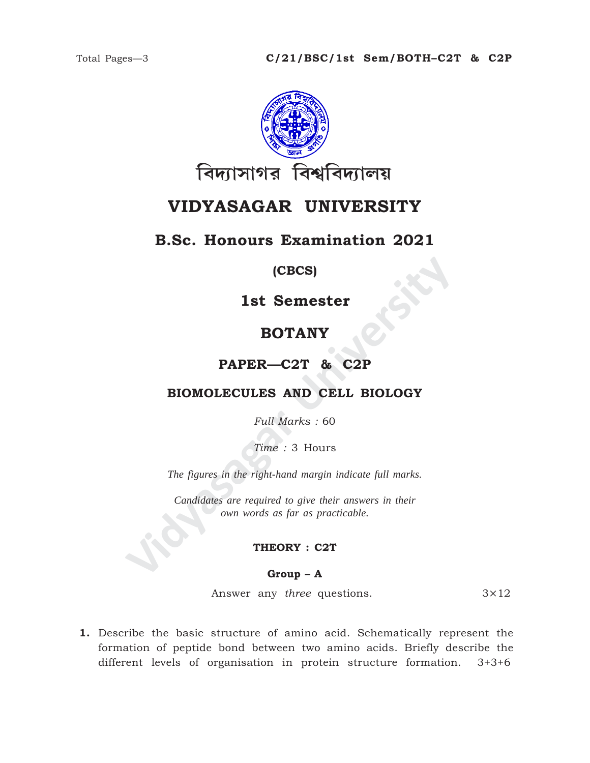

# **VIDYASAGAR UNIVERSITY**

## **B.Sc. Honours Examination 2021**

### **(CBCS)**

**1st Semester**

# **BOTANY**

### **PAPER—C2T & C2P**

### **BIOMOLECULES AND CELL BIOLOGY**

*Full Marks :* 60

*Time :* 3 Hours

*The figures in the right-hand margin indicate full marks.*

**IST SEMESTER**<br> **VIDYANY**<br> **VIDYANY**<br> **PAPER—C2T & C2P**<br> **BIOMOLECULES AND CELL BIOLOGY**<br>
Full Marks : 60<br>
Time : 3 Hours<br>
The figures in the right-hand margin indicate full marks.<br>
Candidates are required to give their an *Candidates are required to give their answers in their own words as far as practicable.*

#### **THEORY : C2T**

#### **Group – A**

Answer any *three* questions. 3×12

**1.** Describe the basic structure of amino acid. Schematically represent the formation of peptide bond between two amino acids. Briefly describe the different levels of organisation in protein structure formation. 3+3+6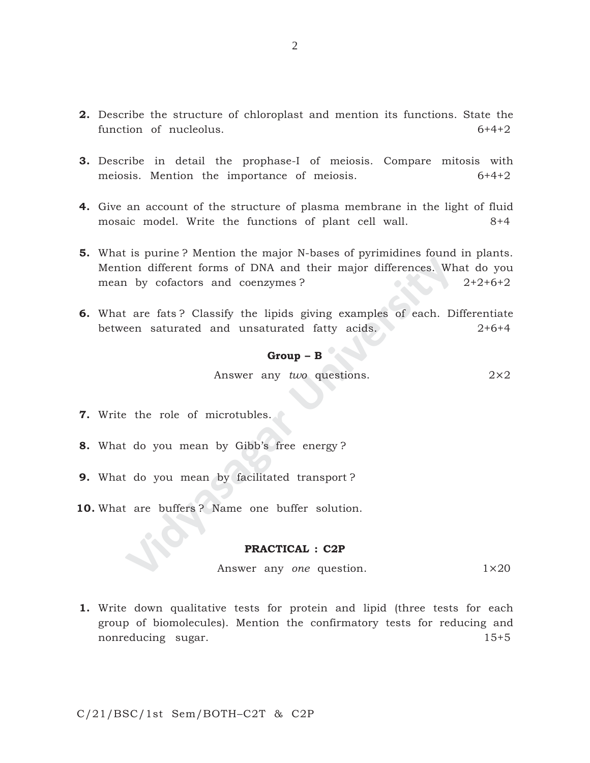- **2.** Describe the structure of chloroplast and mention its functions. State the function of nucleolus.  $6+4+2$
- **3.** Describe in detail the prophase-I of meiosis. Compare mitosis with meiosis. Mention the importance of meiosis. 6+4+2
- **4.** Give an account of the structure of plasma membrane in the light of fluid mosaic model. Write the functions of plant cell wall. 8+4
- **Solution** is the transformal of DNA and their major differences. Whereas is the by cofactors and coenzymes?<br> **Case are fats**? Classify the lipids giving examples of each. Dependent and unsaturated fatty acids.<br> **Group B 5.** What is purine ? Mention the major N-bases of pyrimidines found in plants. Mention different forms of DNA and their major differences. What do you mean by cofactors and coenzymes ? 2+2+6+2
- **6.** What are fats ? Classify the lipids giving examples of each. Differentiate between saturated and unsaturated fatty acids. 2+6+4

### **Group – B**

Answer any *two* questions. 2×2

- **7.** Write the role of microtubles.
- **8.** What do you mean by Gibb's free energy ?
- **9.** What do you mean by facilitated transport ?
- **10.** What are buffers ? Name one buffer solution.

#### **PRACTICAL : C2P**

Answer any *one* question. 1×20

**1.** Write down qualitative tests for protein and lipid (three tests for each group of biomolecules). Mention the confirmatory tests for reducing and nonreducing sugar. 15+5